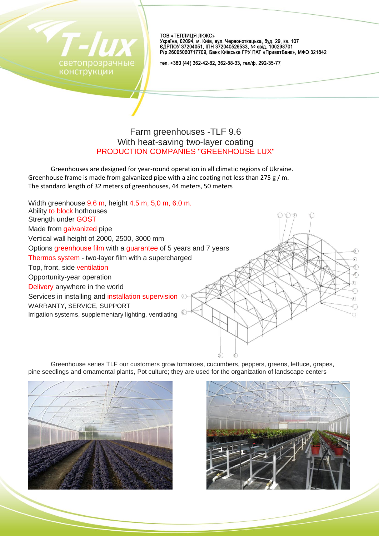

ТОВ «ТЕПЛИЦЯ ЛЮКС» . Осложательно и супедиять в собора в супедия в собора и 107<br>Сираїна, 02094, м. Київ, вул. Червоноткацька, буд. 100298701<br>Р/р 26005060717709, Банк Київське ГРУ ПАТ «ПриватБанк», МФО 321842

тел. +380 (44) 362-42-82, 362-88-33, тел/ф. 292-35-77

# Farm greenhouses -TLF 9.6 With heat-saving two-layer coating PRODUCTION COMPANIES "GREENHOUSE LUX"

Greenhouses are designed for year-round operation in all climatic regions of Ukraine. Greenhouse frame is made from galvanized pipe with a zinc coating not less than 275 g / m. The standard length of 32 meters of greenhouses, 44 meters, 50 meters



Greenhouse series TLF our customers grow tomatoes, cucumbers, peppers, greens, lettuce, grapes, pine seedlings and ornamental plants, Pot culture; they are used for the organization of landscape centers



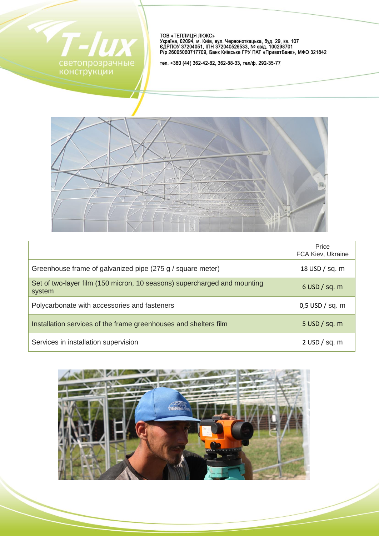

ТОВ «ТЕПЛИЦЯ ЛЮКС»<br>Україна, 02094, м. Київ, вул. Червоноткацька, буд. 29, кв. 107<br>ЄДРПОУ 37204051, ІПН 372040526533, № свід. 100298701<br>Р/р 26005060717709, Банк Київське ГРУ ПАТ «ПриватБанк», МФО 321842

тел. +380 (44) 362-42-82, 362-88-33, тел/ф. 292-35-77



|                                                                                    | Price<br>FCA Kiev, Ukraine |
|------------------------------------------------------------------------------------|----------------------------|
| Greenhouse frame of galvanized pipe (275 g / square meter)                         | 18 USD / sq. m             |
| Set of two-layer film (150 micron, 10 seasons) supercharged and mounting<br>system | $6$ USD $/$ sq. m          |
| Polycarbonate with accessories and fasteners                                       | $0,5$ USD / sq. m          |
| Installation services of the frame greenhouses and shelters film                   | $5$ USD $/$ sq. m          |
| Services in installation supervision                                               | $2$ USD $/$ sq. m          |

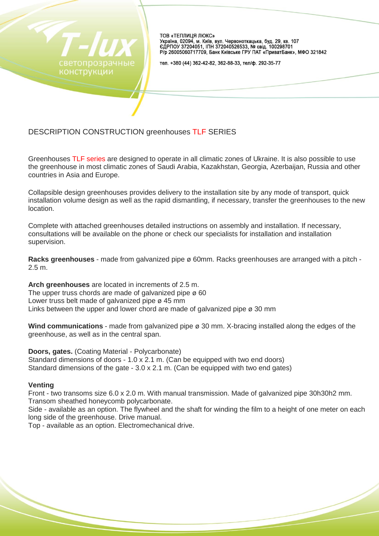

ТОВ «ТЕПЛИЦЯ ЛЮКС» 

тел. +380 (44) 362-42-82, 362-88-33, тел/ф. 292-35-77

# DESCRIPTION CONSTRUCTION greenhouses TLF SERIES

Greenhouses TLF series are designed to operate in all climatic zones of Ukraine. It is also possible to use the greenhouse in most climatic zones of Saudi Arabia, Kazakhstan, Georgia, Azerbaijan, Russia and other countries in Asia and Europe.

Collapsible design greenhouses provides delivery to the installation site by any mode of transport, quick installation volume design as well as the rapid dismantling, if necessary, transfer the greenhouses to the new location.

Complete with attached greenhouses detailed instructions on assembly and installation. If necessary, consultations will be available on the phone or check our specialists for installation and installation supervision.

**Racks greenhouses** - made from galvanized pipe ø 60mm. Racks greenhouses are arranged with a pitch - 2.5 m.

**Arch greenhouses** are located in increments of 2.5 m. The upper truss chords are made of galvanized pipe ø 60 Lower truss belt made of galvanized pipe ø 45 mm Links between the upper and lower chord are made of galvanized pipe  $\varnothing$  30 mm

**Wind communications** - made from galvanized pipe ø 30 mm. X-bracing installed along the edges of the greenhouse, as well as in the central span.

**Doors, gates.** (Coating Material - Polycarbonate) Standard dimensions of doors - 1.0 x 2.1 m. (Can be equipped with two end doors) Standard dimensions of the gate - 3.0 x 2.1 m. (Can be equipped with two end gates)

## **Venting**

Front - two transoms size 6.0 x 2.0 m. With manual transmission. Made of galvanized pipe 30h30h2 mm. Transom sheathed honeycomb polycarbonate.

Side - available as an option. The flywheel and the shaft for winding the film to a height of one meter on each long side of the greenhouse. Drive manual.

Top - available as an option. Electromechanical drive.